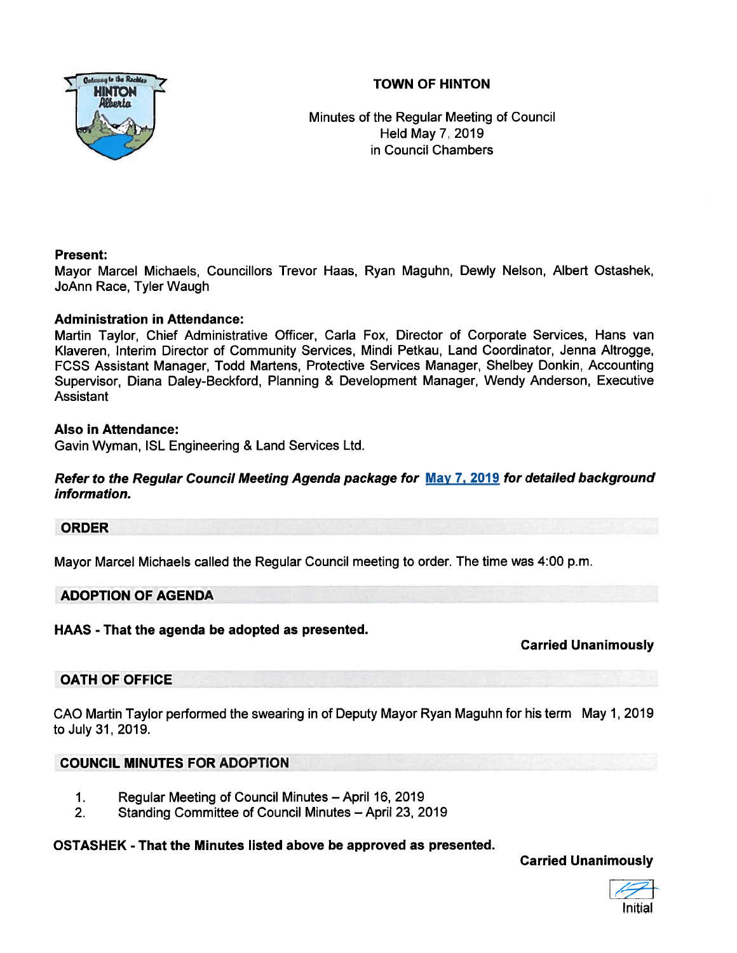# TOWN OF HINTON



Minutes of the Regular Meeting of Council Held May 7, 2019 in Council Chambers

# Present:

Mayor Marcel Michaels, Councillors Trevor Haas, Ryan Maguhn, Dewly Nelson, Albert Ostashek, JoAnn Race, Tyler Waugh

# Administration in Attendance:

Martin Taylor, Chief Administrative Officer, Carla Fox, Director of Corporate Services, Hans van Klaveren, Interim Director of Community Services, Mindi Petkau, Land Coordinator, Jenna Altrogge, FCSS Assistant Manager, Todd Martens, Protective Services Manager, Shelbey Donkin, Accounting Supervisor, Diana Daley-Beckford, Planning & Development Manager, Wendy Anderson, Executive **Assistant** 

### Also in Attendance:

Gavin Wyman, ISL Engineering & Land Services Ltd.

# Refer to the Regular Council Meeting Agenda package for May 7, 2019 for detailed background information.

# ORDER

Mayor Marcel Michaels called the Regular Council meeting to order. The time was 4:00 p.m.

### ADOPTION OF AGENDA

HAAS -That the agenda be adopted as presented.

# Carried Unanimously

# OATH OF OFFICE

CAO Martin Taylor performed the swearing in of Deputy Mayor Ryan Maguhn for his term May 1, 2019 to July 31, 2019.

# COUNCIL MINUTES FOR ADOPTION

- 1. Regular Meeting of Council Minutes April 16, 2019
- 2. Standing Committee of Council Minutes April 23, 2019

# OSTASHEK - That the Minutes listed above be approved as presented.

Carried Unanimously

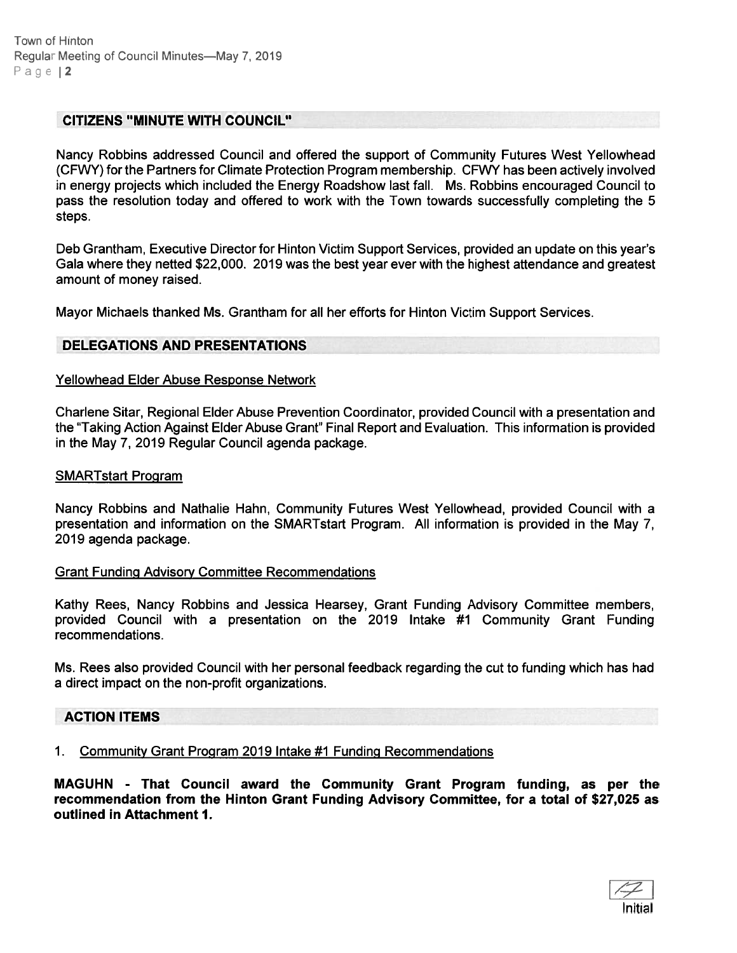### CITIZENS "MINUTE WITH COUNCIL"

Nancy Robbins addressed Council and offered the suppor<sup>t</sup> of Community Futures West Yellowhead (CFWY) for the Partners for Climate Protection Program membership. CFWY has been actively involved in energy projects which included the Energy Roadshow last fall. Ms. Robbins encouraged Council to pass the resolution today and offered to work with the Town towards successfully completing the 5 steps.

Deb Grantham, Executive Director for Hinton Victim Support Services, provided an update on this year's Gala where they netted \$22,000. 2019 was the best year ever with the highest attendance and greatest amount of money raised.

Mayor Michaels thanked Ms. Grantham for all her efforts for Hinton Victim Support Services.

#### DELEGATIONS AND PRESENTATIONS

#### Yellowhead Elder Abuse Response Network

Charlene Sitar, Regional Elder Abuse Prevention Coordinator, provided Council with <sup>a</sup> presentation and the "Taking Action Against Elder Abuse Grant" Final Report and Evaluation. This information is provided in the May 7, 2019 Regular Council agenda package.

#### SMARTstart Program

Nancy Robbins and Nathalie Hahn, Community Futures West Yellowhead, provided Council with <sup>a</sup> presentation and information on the SMARTstart Program. All information is provided in the May 7, 2019 agenda package.

#### Grant Funding Advisory Committee Recommendations

Kathy Rees, Nancy Robbins and Jessica Hearsey, Grant Funding Advisory Committee members, provided Council with <sup>a</sup> presentation on the 2019 Intake #1 Community Grant Funding recommendations.

Ms. Rees also provided Council with her personal feedback regarding the cut to funding which has had <sup>a</sup> direct impact on the non-profit organizations.

#### ACTION ITEMS

1. Community Grant Program 2019 Intake #1 Funding Recommendations

MAGUHN - That Council award the Community Grant Program funding, as per the recommendation from the Hinton Grant Funding Advisory Committee, for <sup>a</sup> total of \$27,025 as outlined in Attachment 1.

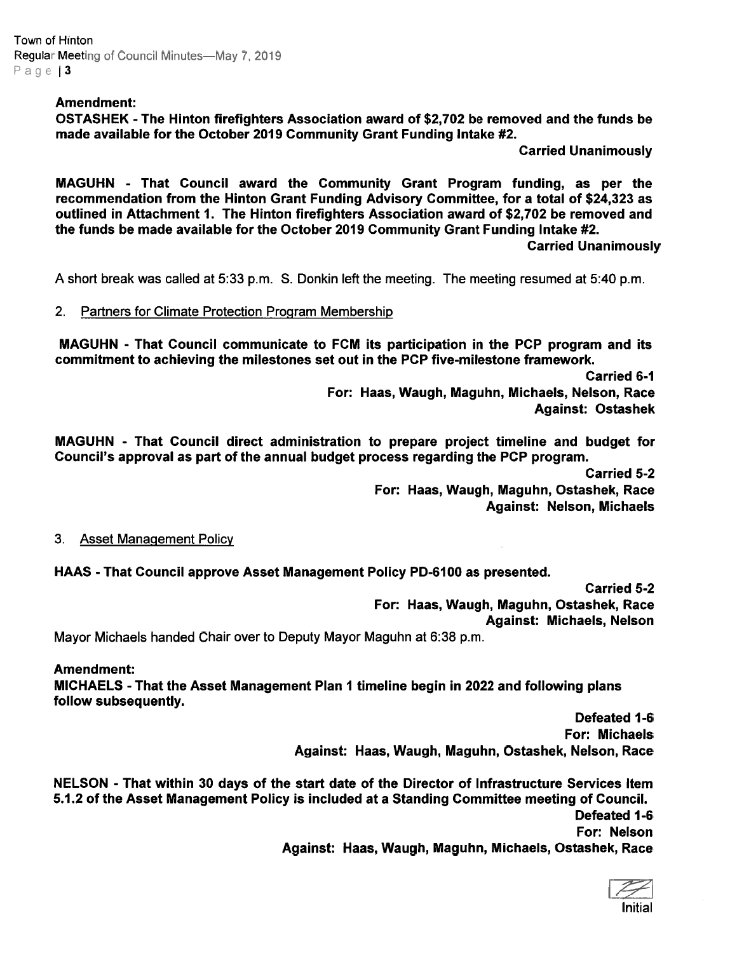Town of Hinton Regular Meeting of Council Minutes—May 7, 2019 Page 13

### Amendment:

OSTASHEK -The Hinton firefighters Association award of \$2,702 be removed and the funds be made available for the October 2019 Community Grant Funding Intake #2.

Carried Unanimously

MAGUHN - That Council award the Community Grant Program funding, as per the recommendation from the Hinton Grant Funding Advisory Committee, for <sup>a</sup> total of \$24,323 as outlined in Attachment 1. The Hinton firefighters Association award of \$2,702 be removed and the funds be made available for the October 2019 Community Grant Funding Intake #2.

Carried Unanimously

A short break was called at 5:33 p.m. S. Donkin left the meeting. The meeting resumed at 5:40 p.m.

2. Partners for Climate Protection Program Membership

MAGUHN - That Council communicate to FCM its participation in the PCP program and its commitment to achieving the milestones set out in the PCP five-milestone framework.

Carried 6-1

For: Haas, Waugh, Maguhn, Michaels, Nelson, Race Against: Ostashek

MAGUHN - That Council direct administration to prepare project timeline and budget for Council's approval as par<sup>t</sup> of the annual budget process regarding the PCP program.

Carried 5-2

For: Haas, Waugh, Maguhn, Ostashek, Race Against: Nelson, Michaels

#### 3. Asset Management Policy

HAAS -That Council approve Asset Management Policy PD-6100 as presented.

Carried 5-2

For: Haas, Waugh, Maguhn, Ostashek, Race

Against: Michaels, Nelson

Mayor Michaels handed Chair over to Deputy Mayor Maguhn at 6:38 p.m.

Amendment: MICHAELS - That the Asset Management Plan 1 timeline begin in 2022 and following plans follow subsequently.

Defeated 1-6 For: Michaels Against: Haas, Waugh, Maguhn, Ostashek, Nelson, Race

NELSON - That within 30 days of the start date of the Director of Infrastructure Services Item 5.1.2 of the Asset Management Policy is included at <sup>a</sup> Standing Committee meeting of Council. Defeated 1-6 For: Nelson Against: Haas, Waugh, Maguhn, Michaels, Ostashek, Race

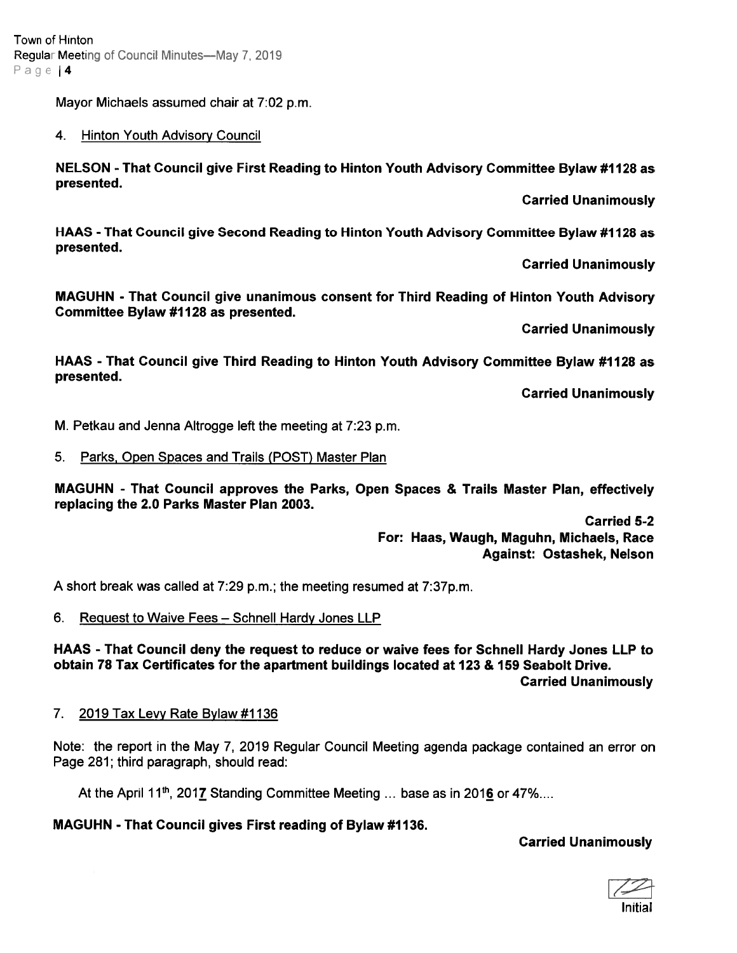Town of Hinton Regular Meeting of Council Minutes—May 7, 2019 Page | 4

Mayor Michaels assumed chair at 7:02 p.m.

### 4. Hinton Youth Advisory Council

NELSON - That Council give First Reading to Hinton Youth Advisory Committee Bylaw #1128 as presented.

Carried Unanimously

HAAS -That Council give Second Reading to Hinton Youth Advisory Committee Bylaw #1128 as presented.

Carried Unanimously

MAGUHN - That Council give unanimous consent for Third Reading of Hinton Youth Advisory Committee Bylaw #1128 as presented.

Carried Unanimously

HAAS - That Council give Third Reading to Hinton Youth Advisory Committee Bylaw #1128 as presented.

Carried Unanimously

M. Petkau and Jenna Altrogge left the meeting at 7:23 p.m.

### 5. Parks, Open Spaces and Trails (POST) Master Plan

MAGUHN - That Council approves the Parks, Open Spaces & Trails Master Plan, effectively replacing the 2.0 Parks Master Plan 2003.

> Carried 5-2 For: Haas, Waugh, Maguhn, Michaels, Race Against: Ostashek, Nelson

A short break was called at 7:29 p.m.; the meeting resumed at 7:37p.m.

# 6. Request to Waive Fees — Schnell Hardy Jones LLP

HAAS - That Council deny the reques<sup>t</sup> to reduce or waive fees for Schnell Hardy Jones LLP to obtain 78 Tax Certificates for the apartment buildings located at 123 & 159 Seabolt Drive. Carried Unanimously

#### 7. 2019 Tax Levy Rate Bylaw #1136

Note: the repor<sup>t</sup> in the May 7, 2019 Regular Council Meeting agenda package contained an error on Page 281; third paragraph, should read:

At the April 11<sup>th</sup>, 2017 Standing Committee Meeting ... base as in 2016 or 47%....

# MAGUHN -That Council gives First reading of Bylaw #1136.

# Carried Unanimously

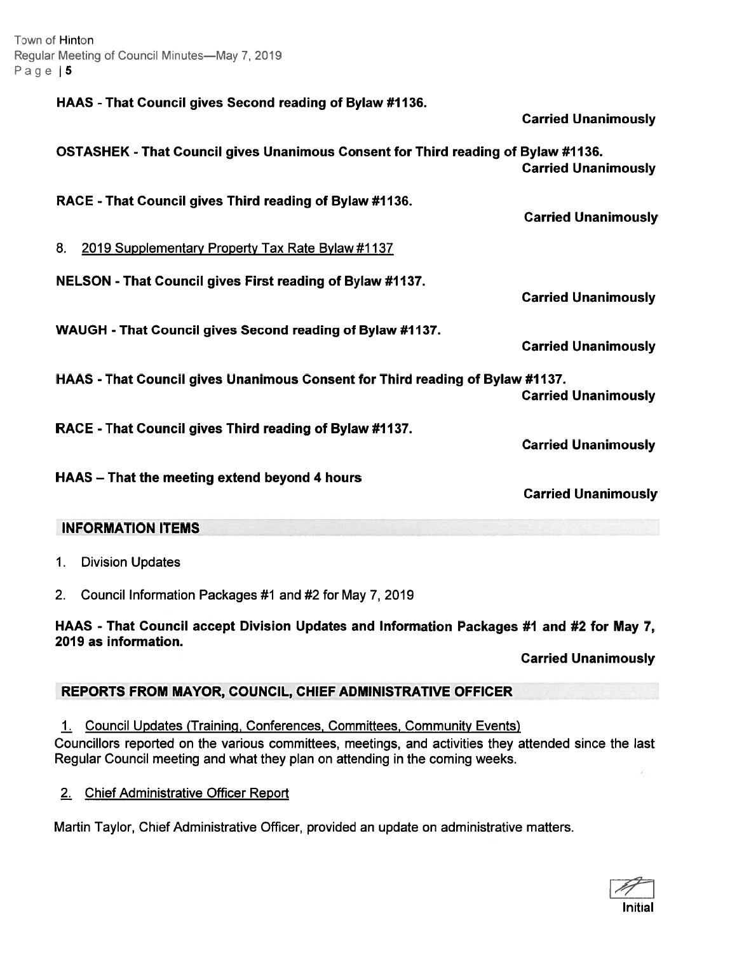Town of Hinton Regular Meeting of Council Minutes—May 7, 2019 Page | 5

> HAAS -That Council gives Second reading of Bylaw #11 36. Carried Unanimously OSTASHEK -That Council gives Unanimous Consent for Third reading of Bylaw #1136. Carried Unanimously RACE - That Council gives Third reading of Bylaw #1136. Carried Unanimously 8. 2019 Supplementary Property Tax Rate Bylaw #1137 NELSON -That Council gives First reading of Bylaw #1137. Carried Unanimously WAUGH -That Council gives Second reading of Bylaw #1137. Carried Unanimously HAAS -That Council gives Unanimous Consent for Third reading of Bylaw #1137. Carried Unanimously RACE -That Council gives Third reading of Bylaw #1137. Carried Unanimously HAAS — That the meeting extend beyond 4 hours Carried Unanimously

# INFORMATION ITEMS

1. Division Updates

2. Council Information Packages #1 and #2 for May 7, 2019

HAAS - That Council accep<sup>t</sup> Division Updates and Information Packages #1 and #2 for May 7, 2019 as information.

Carried Unanimously

# REPORTS FROM MAYOR, COUNCIL, CHIEF ADMINISTRATIVE OFFICER

1. Council Updates (Training, Conferences, Committees, Community Events) Councillors reported on the various committees, meetings, and activities they attended since the last Regular Council meeting and what they plan on attending in the coming weeks.

2. Chief Administrative Officer Report

Martin Taylor, Chief Administrative Officer, provided an update on administrative matters.